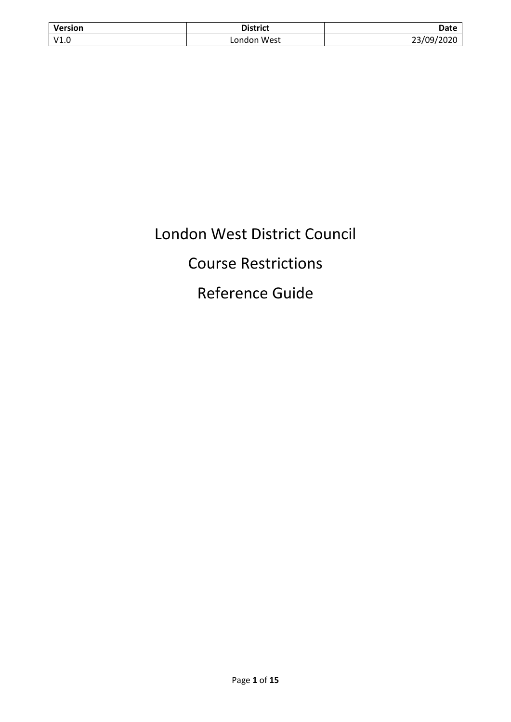| <b>Version</b> | <b>District</b> | Date       |
|----------------|-----------------|------------|
| V1.0           | London West     | 23/09/2020 |

# London West District Council Course Restrictions Reference Guide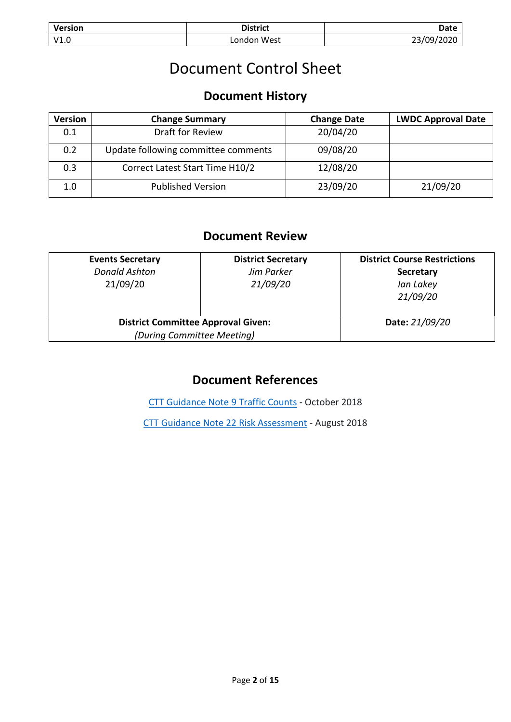| Version | <b>District</b> | Date        |
|---------|-----------------|-------------|
| V1.0    | London West     | ີ<br>∠020 - |

## Document Control Sheet

### **Document History**

| <b>Version</b> | <b>Change Summary</b>               | <b>Change Date</b> | <b>LWDC Approval Date</b> |
|----------------|-------------------------------------|--------------------|---------------------------|
| 0.1            | Draft for Review                    | 20/04/20           |                           |
| 0.2            | Update following committee comments | 09/08/20           |                           |
| 0.3            | Correct Latest Start Time H10/2     | 12/08/20           |                           |
| 1.0            | <b>Published Version</b>            | 23/09/20           | 21/09/20                  |

### **Document Review**

| <b>Events Secretary</b><br><b>Donald Ashton</b><br>21/09/20             | <b>District Secretary</b><br>Jim Parker<br>21/09/20 | <b>District Course Restrictions</b><br><b>Secretary</b><br>Ian Lakey<br>21/09/20 |
|-------------------------------------------------------------------------|-----------------------------------------------------|----------------------------------------------------------------------------------|
| <b>District Committee Approval Given:</b><br>(During Committee Meeting) |                                                     | Date: 21/09/20                                                                   |

### **Document References**

[CTT Guidance Note](https://www.cyclingtimetrials.org.uk/documents/download/5384) 9 Traffic Counts - October 2018

[CTT Guidance Note 22 Risk Assessment](https://www.cyclingtimetrials.org.uk/documents/download/4929) - August 2018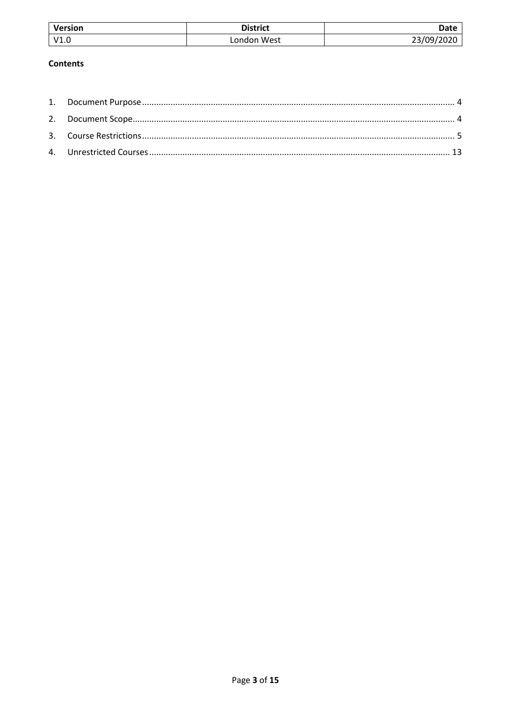| Version | <b>District</b> | Date                |
|---------|-----------------|---------------------|
| V1.L    | ∟ondon West     | /09/2020<br>ີ<br>-- |

#### **Contents**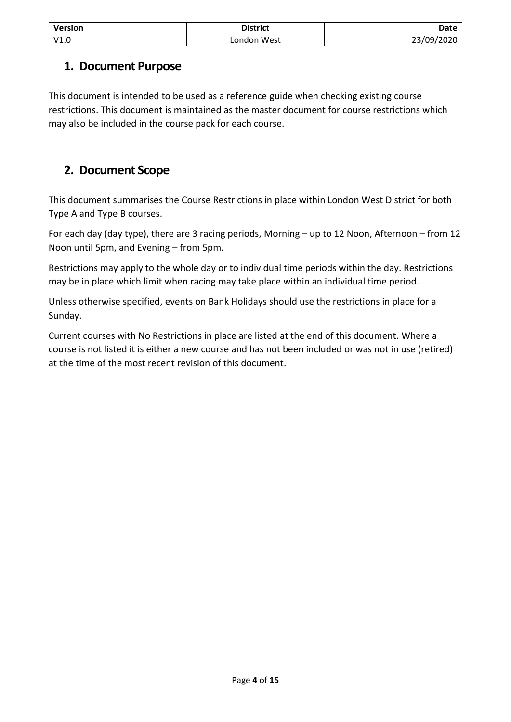| <b>Version</b> | <b>District</b> | Date       |
|----------------|-----------------|------------|
| V1.0           | London West     | 23/09/2020 |

### <span id="page-3-0"></span>**1. Document Purpose**

This document is intended to be used as a reference guide when checking existing course restrictions. This document is maintained as the master document for course restrictions which may also be included in the course pack for each course.

### <span id="page-3-1"></span>**2. Document Scope**

This document summarises the Course Restrictions in place within London West District for both Type A and Type B courses.

For each day (day type), there are 3 racing periods, Morning – up to 12 Noon, Afternoon – from 12 Noon until 5pm, and Evening – from 5pm.

Restrictions may apply to the whole day or to individual time periods within the day. Restrictions may be in place which limit when racing may take place within an individual time period.

Unless otherwise specified, events on Bank Holidays should use the restrictions in place for a Sunday.

Current courses with No Restrictions in place are listed at the end of this document. Where a course is not listed it is either a new course and has not been included or was not in use (retired) at the time of the most recent revision of this document.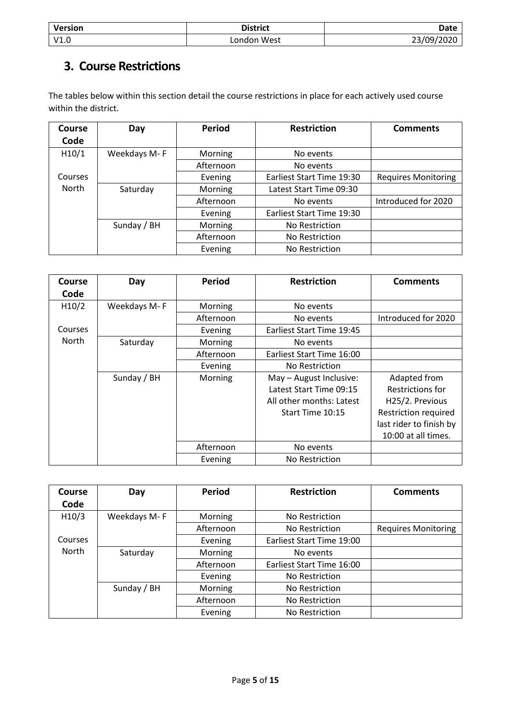| <b>Version</b> | <b>District</b> | Date       |
|----------------|-----------------|------------|
| V1.0           | London West     | 23/09/2020 |

### <span id="page-4-0"></span>**3. Course Restrictions**

The tables below within this section detail the course restrictions in place for each actively used course within the district.

| Course       | Day          | <b>Period</b> | <b>Restriction</b>        | <b>Comments</b>            |
|--------------|--------------|---------------|---------------------------|----------------------------|
| Code         |              |               |                           |                            |
| H10/1        | Weekdays M-F | Morning       | No events                 |                            |
|              |              | Afternoon     | No events                 |                            |
| Courses      |              | Evening       | Earliest Start Time 19:30 | <b>Requires Monitoring</b> |
| <b>North</b> | Saturday     | Morning       | Latest Start Time 09:30   |                            |
|              |              | Afternoon     | No events                 | Introduced for 2020        |
|              |              | Evening       | Earliest Start Time 19:30 |                            |
|              | Sunday / BH  | Morning       | No Restriction            |                            |
|              |              | Afternoon     | No Restriction            |                            |
|              |              | Evening       | No Restriction            |                            |

| Course  | Day          | <b>Period</b> | <b>Restriction</b>        | <b>Comments</b>             |
|---------|--------------|---------------|---------------------------|-----------------------------|
| Code    |              |               |                           |                             |
| H10/2   | Weekdays M-F | Morning       | No events                 |                             |
|         |              | Afternoon     | No events                 | Introduced for 2020         |
| Courses |              | Evening       | Earliest Start Time 19:45 |                             |
| North   | Saturday     | Morning       | No events                 |                             |
|         |              | Afternoon     | Earliest Start Time 16:00 |                             |
|         |              | Evening       | No Restriction            |                             |
|         | Sunday / BH  | Morning       | May - August Inclusive:   | Adapted from                |
|         |              |               | Latest Start Time 09:15   | Restrictions for            |
|         |              |               | All other months: Latest  | H25/2. Previous             |
|         |              |               | Start Time 10:15          | <b>Restriction required</b> |
|         |              |               |                           | last rider to finish by     |
|         |              |               |                           | 10:00 at all times.         |
|         |              | Afternoon     | No events                 |                             |
|         |              | Evening       | No Restriction            |                             |

| Course       | Day          | <b>Period</b> | <b>Restriction</b>        | <b>Comments</b>            |
|--------------|--------------|---------------|---------------------------|----------------------------|
| Code         |              |               |                           |                            |
| H10/3        | Weekdays M-F | Morning       | No Restriction            |                            |
|              |              | Afternoon     | No Restriction            | <b>Requires Monitoring</b> |
| Courses      |              | Evening       | Earliest Start Time 19:00 |                            |
| <b>North</b> | Saturday     | Morning       | No events                 |                            |
|              |              | Afternoon     | Earliest Start Time 16:00 |                            |
|              |              | Evening       | No Restriction            |                            |
|              | Sunday / BH  | Morning       | No Restriction            |                            |
|              |              | Afternoon     | No Restriction            |                            |
|              |              | Evening       | No Restriction            |                            |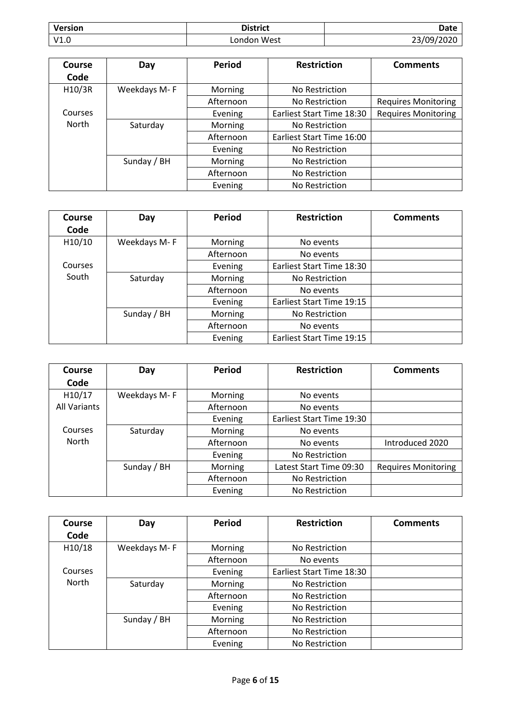| <b>Version</b> | <b>District</b> | Date                           |
|----------------|-----------------|--------------------------------|
| V1.0           | London West     | /∩۹/<br>$\mathcal{L}$<br>/2020 |

| Course  | Day          | <b>Period</b>  | <b>Restriction</b>        | <b>Comments</b>            |
|---------|--------------|----------------|---------------------------|----------------------------|
| Code    |              |                |                           |                            |
| H10/3R  | Weekdays M-F | Morning        | No Restriction            |                            |
|         |              | Afternoon      | No Restriction            | <b>Requires Monitoring</b> |
| Courses |              | Evening        | Earliest Start Time 18:30 | <b>Requires Monitoring</b> |
| North   | Saturday     | <b>Morning</b> | No Restriction            |                            |
|         |              | Afternoon      | Earliest Start Time 16:00 |                            |
|         |              | Evening        | No Restriction            |                            |
|         | Sunday / BH  | Morning        | No Restriction            |                            |
|         |              | Afternoon      | No Restriction            |                            |
|         |              | Evening        | No Restriction            |                            |

| Course  | Day          | <b>Period</b> | <b>Restriction</b>        | <b>Comments</b> |
|---------|--------------|---------------|---------------------------|-----------------|
| Code    |              |               |                           |                 |
| H10/10  | Weekdays M-F | Morning       | No events                 |                 |
|         |              | Afternoon     | No events                 |                 |
| Courses |              | Evening       | Earliest Start Time 18:30 |                 |
| South   | Saturday     | Morning       | No Restriction            |                 |
|         |              | Afternoon     | No events                 |                 |
|         |              | Evening       | Earliest Start Time 19:15 |                 |
|         | Sunday / BH  | Morning       | No Restriction            |                 |
|         |              | Afternoon     | No events                 |                 |
|         |              | Evening       | Earliest Start Time 19:15 |                 |

| Course<br>Code | Day          | Period         | <b>Restriction</b>        | <b>Comments</b>            |
|----------------|--------------|----------------|---------------------------|----------------------------|
| H10/17         | Weekdays M-F | Morning        | No events                 |                            |
| All Variants   |              | Afternoon      | No events                 |                            |
|                |              | Evening        | Earliest Start Time 19:30 |                            |
| Courses        | Saturday     | Morning        | No events                 |                            |
| <b>North</b>   |              | Afternoon      | No events                 | Introduced 2020            |
|                |              | Evening        | No Restriction            |                            |
|                | Sunday / BH  | <b>Morning</b> | Latest Start Time 09:30   | <b>Requires Monitoring</b> |
|                |              | Afternoon      | No Restriction            |                            |
|                |              | Evening        | No Restriction            |                            |

| Course       | Day          | <b>Period</b> | <b>Restriction</b>        | <b>Comments</b> |
|--------------|--------------|---------------|---------------------------|-----------------|
| Code         |              |               |                           |                 |
| H10/18       | Weekdays M-F | Morning       | No Restriction            |                 |
|              |              | Afternoon     | No events                 |                 |
| Courses      |              | Evening       | Earliest Start Time 18:30 |                 |
| <b>North</b> | Saturday     | Morning       | No Restriction            |                 |
|              |              | Afternoon     | No Restriction            |                 |
|              |              | Evening       | No Restriction            |                 |
|              | Sunday / BH  | Morning       | No Restriction            |                 |
|              |              | Afternoon     | No Restriction            |                 |
|              |              | Evening       | No Restriction            |                 |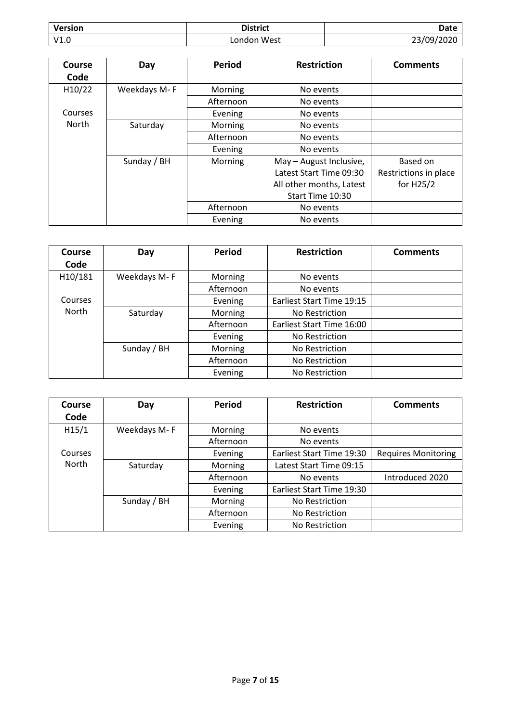| <b>Version</b> | <b>District</b> | <b>Date</b> |
|----------------|-----------------|-------------|
| V1.0           | London West     | 23/09/2020  |

| Course<br>Code | Day          | <b>Period</b> | <b>Restriction</b>       | <b>Comments</b>       |
|----------------|--------------|---------------|--------------------------|-----------------------|
| H10/22         | Weekdays M-F | Morning       | No events                |                       |
|                |              | Afternoon     | No events                |                       |
| Courses        |              | Evening       | No events                |                       |
| <b>North</b>   | Saturday     | Morning       | No events                |                       |
|                |              | Afternoon     | No events                |                       |
|                |              | Evening       | No events                |                       |
|                | Sunday / BH  | Morning       | May - August Inclusive,  | <b>Based on</b>       |
|                |              |               | Latest Start Time 09:30  | Restrictions in place |
|                |              |               | All other months, Latest | for $H25/2$           |
|                |              |               | Start Time 10:30         |                       |
|                |              | Afternoon     | No events                |                       |
|                |              | Evening       | No events                |                       |

| Course<br>Code | Day          | <b>Period</b> | <b>Restriction</b>        | <b>Comments</b> |
|----------------|--------------|---------------|---------------------------|-----------------|
| H10/181        | Weekdays M-F | Morning       | No events                 |                 |
|                |              | Afternoon     | No events                 |                 |
| Courses        |              | Evening       | Earliest Start Time 19:15 |                 |
| <b>North</b>   | Saturday     | Morning       | No Restriction            |                 |
|                |              | Afternoon     | Earliest Start Time 16:00 |                 |
|                |              | Evening       | No Restriction            |                 |
|                | Sunday / BH  | Morning       | No Restriction            |                 |
|                |              | Afternoon     | No Restriction            |                 |
|                |              | Evening       | No Restriction            |                 |

| Course       | Day          | <b>Period</b> | <b>Restriction</b>        | <b>Comments</b>            |
|--------------|--------------|---------------|---------------------------|----------------------------|
| Code         |              |               |                           |                            |
| H15/1        | Weekdays M-F | Morning       | No events                 |                            |
|              |              | Afternoon     | No events                 |                            |
| Courses      |              | Evening       | Earliest Start Time 19:30 | <b>Requires Monitoring</b> |
| <b>North</b> | Saturday     | Morning       | Latest Start Time 09:15   |                            |
|              |              | Afternoon     | No events                 | Introduced 2020            |
|              |              | Evening       | Earliest Start Time 19:30 |                            |
|              | Sunday / BH  | Morning       | No Restriction            |                            |
|              |              | Afternoon     | No Restriction            |                            |
|              |              | Evening       | No Restriction            |                            |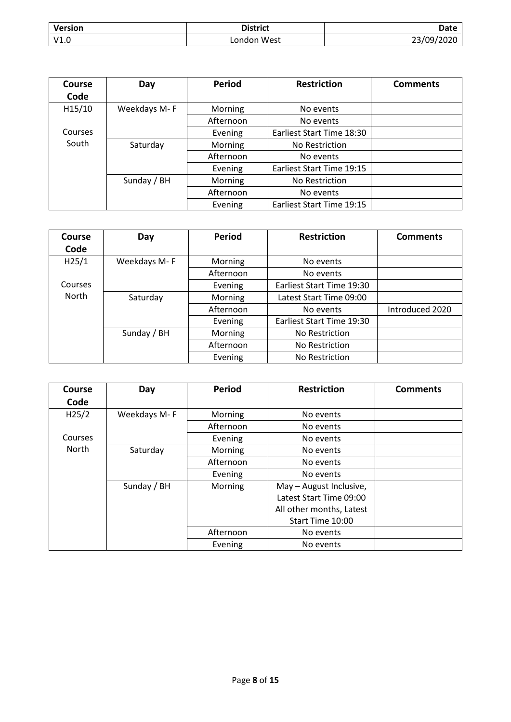| <b>Version</b> | <b>District</b> | Date       |
|----------------|-----------------|------------|
| V1.0           | London West     | 23/09/2020 |

| Course  | Day          | <b>Period</b> | <b>Restriction</b>        | <b>Comments</b> |
|---------|--------------|---------------|---------------------------|-----------------|
| Code    |              |               |                           |                 |
| H15/10  | Weekdays M-F | Morning       | No events                 |                 |
|         |              | Afternoon     | No events                 |                 |
| Courses |              | Evening       | Earliest Start Time 18:30 |                 |
| South   | Saturday     | Morning       | No Restriction            |                 |
|         |              | Afternoon     | No events                 |                 |
|         |              | Evening       | Earliest Start Time 19:15 |                 |
|         | Sunday / BH  | Morning       | No Restriction            |                 |
|         |              | Afternoon     | No events                 |                 |
|         |              | Evening       | Earliest Start Time 19:15 |                 |

| Course       | Day          | <b>Period</b> | <b>Restriction</b>        | <b>Comments</b> |
|--------------|--------------|---------------|---------------------------|-----------------|
| Code         |              |               |                           |                 |
| H25/1        | Weekdays M-F | Morning       | No events                 |                 |
|              |              | Afternoon     | No events                 |                 |
| Courses      |              | Evening       | Earliest Start Time 19:30 |                 |
| <b>North</b> | Saturday     | Morning       | Latest Start Time 09:00   |                 |
|              |              | Afternoon     | No events                 | Introduced 2020 |
|              |              | Evening       | Earliest Start Time 19:30 |                 |
|              | Sunday / BH  | Morning       | No Restriction            |                 |
|              |              | Afternoon     | No Restriction            |                 |
|              |              | Evening       | No Restriction            |                 |

| Course<br>Code | Day          | <b>Period</b> | <b>Restriction</b>       | <b>Comments</b> |
|----------------|--------------|---------------|--------------------------|-----------------|
|                |              |               |                          |                 |
| H25/2          | Weekdays M-F | Morning       | No events                |                 |
|                |              | Afternoon     | No events                |                 |
| Courses        |              | Evening       | No events                |                 |
| <b>North</b>   | Saturday     | Morning       | No events                |                 |
|                |              | Afternoon     | No events                |                 |
|                |              | Evening       | No events                |                 |
|                | Sunday / BH  | Morning       | May - August Inclusive,  |                 |
|                |              |               | Latest Start Time 09:00  |                 |
|                |              |               | All other months, Latest |                 |
|                |              |               | Start Time 10:00         |                 |
|                |              | Afternoon     | No events                |                 |
|                |              | Evening       | No events                |                 |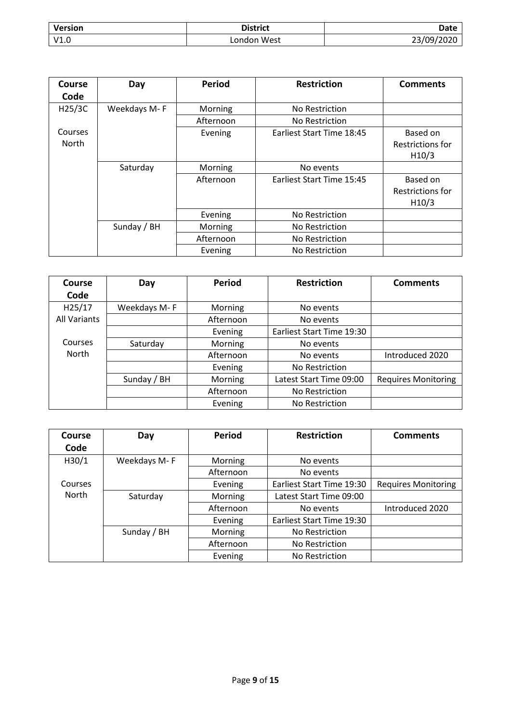| <b>Version</b> | <b>District</b> | Date       |
|----------------|-----------------|------------|
| V1.0           | London West     | 23/09/2020 |

| <b>Course</b>           | Day          | Period    | <b>Restriction</b>        | <b>Comments</b>                       |
|-------------------------|--------------|-----------|---------------------------|---------------------------------------|
| Code                    |              |           |                           |                                       |
| H25/3C                  | Weekdays M-F | Morning   | No Restriction            |                                       |
|                         |              | Afternoon | No Restriction            |                                       |
| Courses<br><b>North</b> |              | Evening   | Earliest Start Time 18:45 | Based on<br>Restrictions for<br>H10/3 |
|                         | Saturday     | Morning   | No events                 |                                       |
|                         |              | Afternoon | Earliest Start Time 15:45 | Based on<br>Restrictions for<br>H10/3 |
|                         |              | Evening   | No Restriction            |                                       |
|                         | Sunday / BH  | Morning   | No Restriction            |                                       |
|                         |              | Afternoon | No Restriction            |                                       |
|                         |              | Evening   | No Restriction            |                                       |

| Course<br>Code      | Day          | <b>Period</b> | <b>Restriction</b>        | <b>Comments</b>            |
|---------------------|--------------|---------------|---------------------------|----------------------------|
|                     |              |               |                           |                            |
| H25/17              | Weekdays M-F | Morning       | No events                 |                            |
| <b>All Variants</b> |              | Afternoon     | No events                 |                            |
|                     |              | Evening       | Earliest Start Time 19:30 |                            |
| Courses             | Saturday     | Morning       | No events                 |                            |
| North               |              | Afternoon     | No events                 | Introduced 2020            |
|                     |              | Evening       | No Restriction            |                            |
|                     | Sunday / BH  | Morning       | Latest Start Time 09:00   | <b>Requires Monitoring</b> |
|                     |              | Afternoon     | No Restriction            |                            |
|                     |              | Evening       | No Restriction            |                            |

| Course            | Day          | <b>Period</b> | <b>Restriction</b>        | <b>Comments</b>            |
|-------------------|--------------|---------------|---------------------------|----------------------------|
| Code              |              |               |                           |                            |
| H <sub>30/1</sub> | Weekdays M-F | Morning       | No events                 |                            |
|                   |              | Afternoon     | No events                 |                            |
| Courses           |              | Evening       | Earliest Start Time 19:30 | <b>Requires Monitoring</b> |
| North             | Saturday     | Morning       | Latest Start Time 09:00   |                            |
|                   |              | Afternoon     | No events                 | Introduced 2020            |
|                   |              | Evening       | Earliest Start Time 19:30 |                            |
|                   | Sunday / BH  | Morning       | No Restriction            |                            |
|                   |              | Afternoon     | No Restriction            |                            |
|                   |              | Evening       | No Restriction            |                            |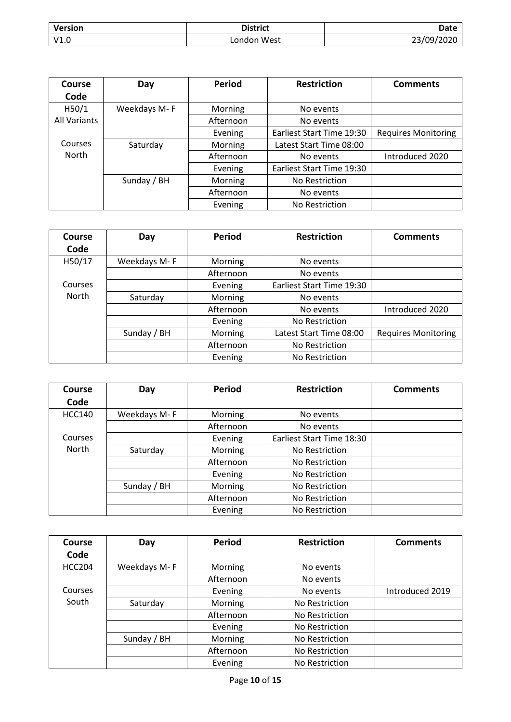| <b>Version</b> | <b>District</b> | Date       |
|----------------|-----------------|------------|
| V1.0           | London West     | 23/09/2020 |

| Course              | Day          | <b>Period</b> | <b>Restriction</b>        | <b>Comments</b>            |
|---------------------|--------------|---------------|---------------------------|----------------------------|
| Code                |              |               |                           |                            |
| H50/1               | Weekdays M-F | Morning       | No events                 |                            |
| <b>All Variants</b> |              | Afternoon     | No events                 |                            |
|                     |              | Evening       | Earliest Start Time 19:30 | <b>Requires Monitoring</b> |
| Courses             | Saturday     | Morning       | Latest Start Time 08:00   |                            |
| North               |              | Afternoon     | No events                 | Introduced 2020            |
|                     |              | Evening       | Earliest Start Time 19:30 |                            |
|                     | Sunday / BH  | Morning       | No Restriction            |                            |
|                     |              | Afternoon     | No events                 |                            |
|                     |              | Evening       | No Restriction            |                            |

| Course<br>Code | Day          | Period    | <b>Restriction</b>        | <b>Comments</b>            |
|----------------|--------------|-----------|---------------------------|----------------------------|
|                |              |           |                           |                            |
| H50/17         | Weekdays M-F | Morning   | No events                 |                            |
|                |              | Afternoon | No events                 |                            |
| Courses        |              | Evening   | Earliest Start Time 19:30 |                            |
| North          | Saturday     | Morning   | No events                 |                            |
|                |              | Afternoon | No events                 | Introduced 2020            |
|                |              | Evening   | No Restriction            |                            |
|                | Sunday / BH  | Morning   | Latest Start Time 08:00   | <b>Requires Monitoring</b> |
|                |              | Afternoon | No Restriction            |                            |
|                |              | Evening   | No Restriction            |                            |

| <b>Course</b> | Day          | <b>Period</b> | <b>Restriction</b>        | <b>Comments</b> |
|---------------|--------------|---------------|---------------------------|-----------------|
| Code          |              |               |                           |                 |
| <b>HCC140</b> | Weekdays M-F | Morning       | No events                 |                 |
|               |              | Afternoon     | No events                 |                 |
| Courses       |              | Evening       | Earliest Start Time 18:30 |                 |
| <b>North</b>  | Saturday     | Morning       | No Restriction            |                 |
|               |              | Afternoon     | No Restriction            |                 |
|               |              | Evening       | No Restriction            |                 |
|               | Sunday / BH  | Morning       | No Restriction            |                 |
|               |              | Afternoon     | No Restriction            |                 |
|               |              | Evening       | No Restriction            |                 |

| <b>Course</b> | Day          | <b>Period</b> | <b>Restriction</b> | <b>Comments</b> |
|---------------|--------------|---------------|--------------------|-----------------|
| Code          |              |               |                    |                 |
| <b>HCC204</b> | Weekdays M-F | Morning       | No events          |                 |
|               |              | Afternoon     | No events          |                 |
| Courses       |              | Evening       | No events          | Introduced 2019 |
| South         | Saturday     | Morning       | No Restriction     |                 |
|               |              | Afternoon     | No Restriction     |                 |
|               |              | Evening       | No Restriction     |                 |
|               | Sunday / BH  | Morning       | No Restriction     |                 |
|               |              | Afternoon     | No Restriction     |                 |
|               |              | Evening       | No Restriction     |                 |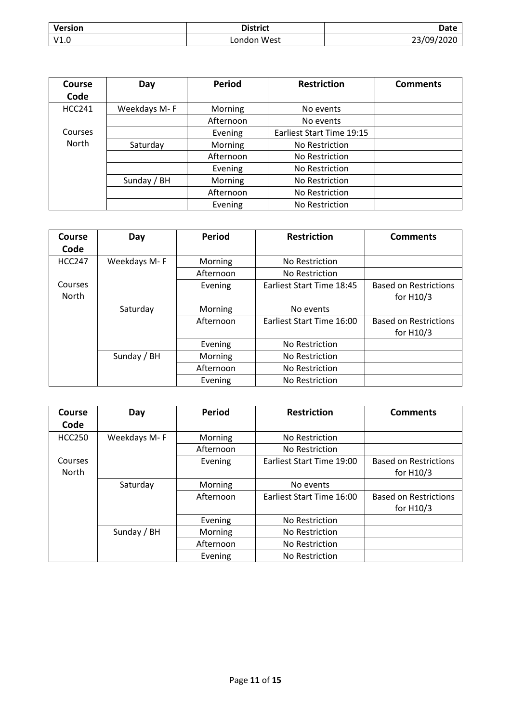| Version | <b>District</b> | Date       |
|---------|-----------------|------------|
| V1.0    | ondon West      | 23/09/2020 |

| Course        | Day          | <b>Period</b> | <b>Restriction</b>        | <b>Comments</b> |
|---------------|--------------|---------------|---------------------------|-----------------|
| Code          |              |               |                           |                 |
| <b>HCC241</b> | Weekdays M-F | Morning       | No events                 |                 |
|               |              | Afternoon     | No events                 |                 |
| Courses       |              | Evening       | Earliest Start Time 19:15 |                 |
| North         | Saturday     | Morning       | No Restriction            |                 |
|               |              | Afternoon     | No Restriction            |                 |
|               |              | Evening       | No Restriction            |                 |
|               | Sunday / BH  | Morning       | No Restriction            |                 |
|               |              | Afternoon     | No Restriction            |                 |
|               |              | Evening       | No Restriction            |                 |

| Course        | Day          | <b>Period</b> | <b>Restriction</b>        | <b>Comments</b>              |
|---------------|--------------|---------------|---------------------------|------------------------------|
| Code          |              |               |                           |                              |
| <b>HCC247</b> | Weekdays M-F | Morning       | No Restriction            |                              |
|               |              | Afternoon     | No Restriction            |                              |
| Courses       |              | Evening       | Earliest Start Time 18:45 | <b>Based on Restrictions</b> |
| North         |              |               |                           | for $H10/3$                  |
|               | Saturday     | Morning       | No events                 |                              |
|               |              | Afternoon     | Earliest Start Time 16:00 | <b>Based on Restrictions</b> |
|               |              |               |                           | for $H10/3$                  |
|               |              | Evening       | No Restriction            |                              |
|               | Sunday / BH  | Morning       | No Restriction            |                              |
|               |              | Afternoon     | No Restriction            |                              |
|               |              | Evening       | No Restriction            |                              |

| Course           | Day          | <b>Period</b> | <b>Restriction</b>        | <b>Comments</b>                             |
|------------------|--------------|---------------|---------------------------|---------------------------------------------|
| Code             |              |               |                           |                                             |
| <b>HCC250</b>    | Weekdays M-F | Morning       | No Restriction            |                                             |
|                  |              | Afternoon     | No Restriction            |                                             |
| Courses<br>North |              | Evening       | Earliest Start Time 19:00 | <b>Based on Restrictions</b><br>for $H10/3$ |
|                  | Saturday     | Morning       | No events                 |                                             |
|                  |              | Afternoon     | Earliest Start Time 16:00 | <b>Based on Restrictions</b><br>for $H10/3$ |
|                  |              | Evening       | No Restriction            |                                             |
|                  | Sunday / BH  | Morning       | No Restriction            |                                             |
|                  |              | Afternoon     | No Restriction            |                                             |
|                  |              | Evening       | No Restriction            |                                             |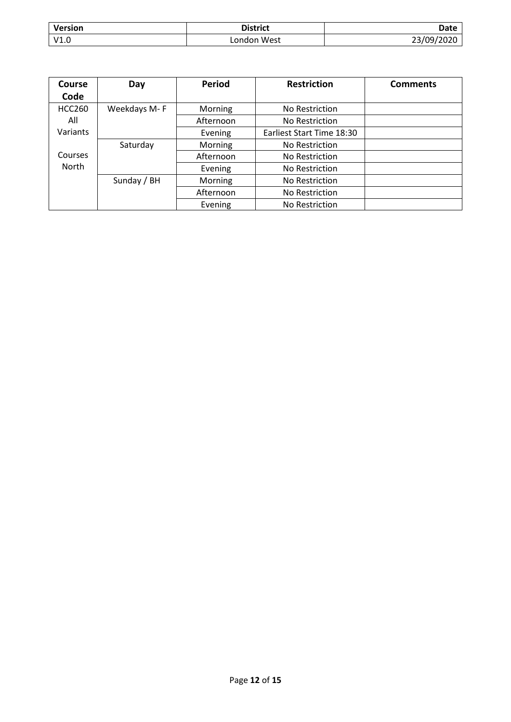| <b>Version</b> | <b>District</b> | Date       |
|----------------|-----------------|------------|
| V1.0           | London West     | 23/09/2020 |

| Course        | Day          | <b>Period</b> | <b>Restriction</b>        | <b>Comments</b> |
|---------------|--------------|---------------|---------------------------|-----------------|
| Code          |              |               |                           |                 |
| <b>HCC260</b> | Weekdays M-F | Morning       | No Restriction            |                 |
| All           |              | Afternoon     | No Restriction            |                 |
| Variants      |              | Evening       | Earliest Start Time 18:30 |                 |
|               | Saturday     | Morning       | No Restriction            |                 |
| Courses       |              | Afternoon     | No Restriction            |                 |
| <b>North</b>  |              | Evening       | No Restriction            |                 |
|               | Sunday / BH  | Morning       | No Restriction            |                 |
|               |              | Afternoon     | No Restriction            |                 |
|               |              | Evening       | No Restriction            |                 |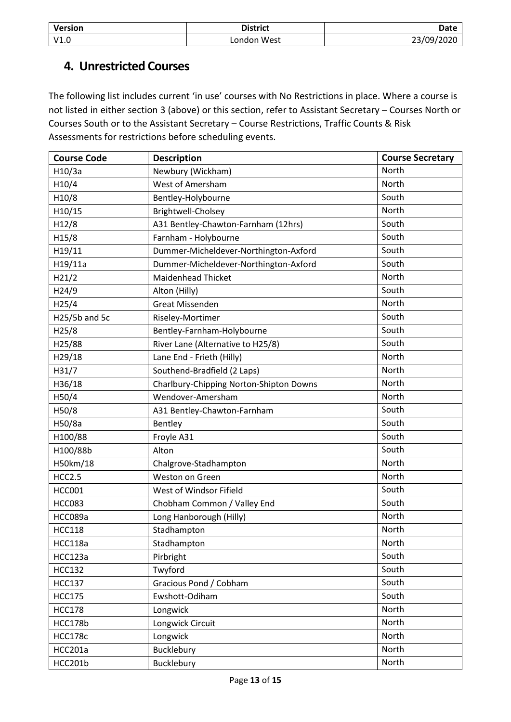| Version | <b>District</b> | Date       |
|---------|-----------------|------------|
| V1.0    | London West     | 23/09/2020 |

### <span id="page-12-0"></span>**4. Unrestricted Courses**

The following list includes current 'in use' courses with No Restrictions in place. Where a course is not listed in either section 3 (above) or this section, refer to Assistant Secretary – Courses North or Courses South or to the Assistant Secretary – Course Restrictions, Traffic Counts & Risk Assessments for restrictions before scheduling events.

| <b>Course Code</b> | <b>Description</b>                      | <b>Course Secretary</b> |
|--------------------|-----------------------------------------|-------------------------|
| H10/3a             | Newbury (Wickham)                       | North                   |
| H10/4              | West of Amersham                        | North                   |
| H10/8              | Bentley-Holybourne                      | South                   |
| H10/15             | Brightwell-Cholsey                      | North                   |
| H12/8              | A31 Bentley-Chawton-Farnham (12hrs)     | South                   |
| H15/8              | Farnham - Holybourne                    | South                   |
| H19/11             | Dummer-Micheldever-Northington-Axford   | South                   |
| H19/11a            | Dummer-Micheldever-Northington-Axford   | South                   |
| H21/2              | Maidenhead Thicket                      | North                   |
| H24/9              | Alton (Hilly)                           | South                   |
| H25/4              | <b>Great Missenden</b>                  | North                   |
| H25/5b and 5c      | Riseley-Mortimer                        | South                   |
| H25/8              | Bentley-Farnham-Holybourne              | South                   |
| H25/88             | River Lane (Alternative to H25/8)       | South                   |
| H29/18             | Lane End - Frieth (Hilly)               | North                   |
| H31/7              | Southend-Bradfield (2 Laps)             | North                   |
| H36/18             | Charlbury-Chipping Norton-Shipton Downs | North                   |
| H50/4              | Wendover-Amersham                       | North                   |
| H50/8              | A31 Bentley-Chawton-Farnham             | South                   |
| H50/8a             | Bentley                                 | South                   |
| H100/88            | Froyle A31                              | South                   |
| H100/88b           | Alton                                   | South                   |
| H50km/18           | Chalgrove-Stadhampton                   | North                   |
| <b>HCC2.5</b>      | Weston on Green                         | North                   |
| <b>HCC001</b>      | West of Windsor Fifield                 | South                   |
| <b>HCC083</b>      | Chobham Common / Valley End             | South                   |
| HCC089a            | Long Hanborough (Hilly)                 | North                   |
| <b>HCC118</b>      | Stadhampton                             | North                   |
| HCC118a            | Stadhampton                             | North                   |
| HCC123a            | Pirbright                               | South                   |
| <b>HCC132</b>      | Twyford                                 | South                   |
| <b>HCC137</b>      | Gracious Pond / Cobham                  | South                   |
| <b>HCC175</b>      | Ewshott-Odiham                          | South                   |
| <b>HCC178</b>      | Longwick                                | North                   |
| HCC178b            | Longwick Circuit                        | North                   |
| HCC178c            | Longwick                                | North                   |
| HCC201a            | Bucklebury                              | North                   |
| HCC201b            | Bucklebury                              | North                   |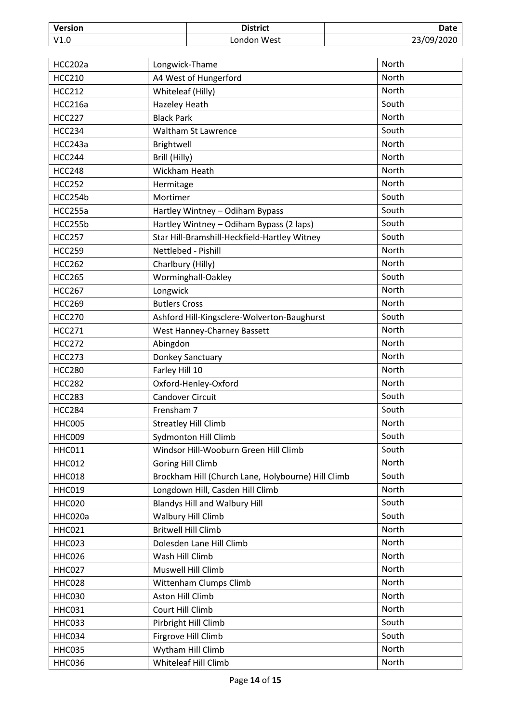| Version | <b>District</b>  | Date                         |
|---------|------------------|------------------------------|
| V1.0    | West<br>∟ondon ' | $/ \Omega$ .<br>$\sim$<br>-- |

| HCC202a       | Longwick-Thame                                     | North        |
|---------------|----------------------------------------------------|--------------|
| <b>HCC210</b> | A4 West of Hungerford                              | North        |
| <b>HCC212</b> | Whiteleaf (Hilly)                                  | North        |
| HCC216a       | <b>Hazeley Heath</b>                               | South        |
| <b>HCC227</b> | <b>Black Park</b>                                  | North        |
| <b>HCC234</b> | Waltham St Lawrence                                | South        |
| HCC243a       | Brightwell                                         | North        |
| <b>HCC244</b> | Brill (Hilly)                                      | North        |
| <b>HCC248</b> | Wickham Heath                                      | <b>North</b> |
| <b>HCC252</b> | Hermitage                                          | North        |
| HCC254b       | Mortimer                                           | South        |
| HCC255a       | Hartley Wintney - Odiham Bypass                    | South        |
| HCC255b       | Hartley Wintney - Odiham Bypass (2 laps)           | South        |
| <b>HCC257</b> | Star Hill-Bramshill-Heckfield-Hartley Witney       | South        |
| <b>HCC259</b> | Nettlebed - Pishill                                | North        |
| <b>HCC262</b> | Charlbury (Hilly)                                  | North        |
| <b>HCC265</b> | Worminghall-Oakley                                 | South        |
| <b>HCC267</b> | Longwick                                           | <b>North</b> |
| <b>HCC269</b> | <b>Butlers Cross</b>                               | North        |
| <b>HCC270</b> | Ashford Hill-Kingsclere-Wolverton-Baughurst        | South        |
| <b>HCC271</b> | West Hanney-Charney Bassett                        | North        |
| <b>HCC272</b> | Abingdon                                           | North        |
| <b>HCC273</b> | Donkey Sanctuary                                   | North        |
| <b>HCC280</b> | Farley Hill 10                                     | North        |
| <b>HCC282</b> | Oxford-Henley-Oxford                               | North        |
| <b>HCC283</b> | <b>Candover Circuit</b>                            | South        |
| <b>HCC284</b> | Frensham 7                                         | South        |
| <b>HHC005</b> | <b>Streatley Hill Climb</b>                        | North        |
| HHC009        | <b>Sydmonton Hill Climb</b>                        | South        |
| <b>HHC011</b> | Windsor Hill-Wooburn Green Hill Climb              | South        |
| <b>HHC012</b> | Goring Hill Climb                                  | North        |
| <b>HHC018</b> | Brockham Hill (Church Lane, Holybourne) Hill Climb | South        |
| <b>HHC019</b> | Longdown Hill, Casden Hill Climb                   | North        |
| <b>HHC020</b> | <b>Blandys Hill and Walbury Hill</b>               | South        |
| HHC020a       | Walbury Hill Climb                                 | South        |
| <b>HHC021</b> | <b>Britwell Hill Climb</b>                         | North        |
| HHC023        | Dolesden Lane Hill Climb                           | North        |
| <b>HHC026</b> | Wash Hill Climb                                    | North        |
| <b>HHC027</b> | Muswell Hill Climb                                 | North        |
| <b>HHC028</b> | Wittenham Clumps Climb                             | North        |
| <b>HHC030</b> | Aston Hill Climb                                   | North        |
| <b>HHC031</b> | Court Hill Climb                                   | North        |
| <b>HHC033</b> | Pirbright Hill Climb                               | South        |
| HHC034        | Firgrove Hill Climb                                | South        |
| <b>HHC035</b> | Wytham Hill Climb                                  | North        |
| <b>HHC036</b> | Whiteleaf Hill Climb                               | North        |